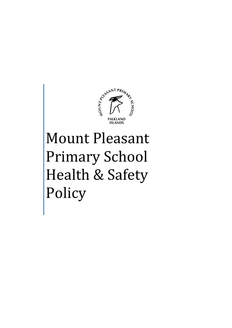

# Mount Pleasant Primary School Health & Safety Policy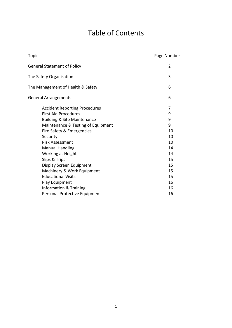## Table of Contents

| Topic                                  | Page Number |
|----------------------------------------|-------------|
| <b>General Statement of Policy</b>     | 2           |
| The Safety Organisation                | 3           |
| The Management of Health & Safety      | 6           |
| <b>General Arrangements</b>            | 6           |
| <b>Accident Reporting Procedures</b>   | 7           |
| <b>First Aid Procedures</b>            | 9           |
| <b>Building &amp; Site Maintenance</b> | 9           |
| Maintenance & Testing of Equipment     | 9           |
| Fire Safety & Emergencies              | 10          |
| Security                               | 10          |
| <b>Risk Assessment</b>                 | 10          |
| <b>Manual Handling</b>                 | 14          |
| Working at Height                      | 14          |
| Slips & Trips                          | 15          |
| Display Screen Equipment               | 15          |
| Machinery & Work Equipment             | 15          |
| <b>Educational Visits</b>              | 15          |
| Play Equipment                         | 16          |
| Information & Training                 | 16          |
| Personal Protective Equipment          | 16          |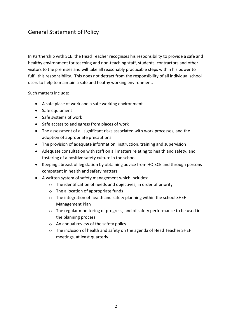### General Statement of Policy

In Partnership with SCE, the Head Teacher recognises his responsibility to provide a safe and healthy environment for teaching and non-teaching staff, students, contractors and other visitors to the premises and will take all reasonably practicable steps within his power to fulfil this responsibility. This does not detract from the responsibility of all individual school users to help to maintain a safe and heathy working environment.

Such matters include:

- A safe place of work and a safe working environment
- Safe equipment
- Safe systems of work
- Safe access to and egress from places of work
- The assessment of all significant risks associated with work processes, and the adoption of appropriate precautions
- The provision of adequate information, instruction, training and supervision
- Adequate consultation with staff on all matters relating to health and safety, and fostering of a positive safety culture in the school
- Keeping abreast of legislation by obtaining advice from HQ SCE and through persons competent in health and safety matters
- A written system of safety management which includes:
	- o The identification of needs and objectives, in order of priority
	- o The allocation of appropriate funds
	- o The integration of health and safety planning within the school SHEF Management Plan
	- o The regular monitoring of progress, and of safety performance to be used in the planning process
	- o An annual review of the safety policy
	- o The inclusion of health and safety on the agenda of Head Teacher SHEF meetings, at least quarterly.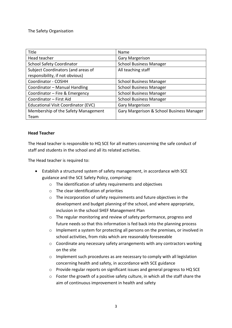#### The Safety Organisation

| <b>Title</b>                               | Name                                      |
|--------------------------------------------|-------------------------------------------|
| Head teacher                               | <b>Gary Margerison</b>                    |
| <b>School Safety Coordinator</b>           | <b>School Business Manager</b>            |
| Subject Coordinators (and areas of         | All teaching staff                        |
| responsibility, if not obvious)            |                                           |
| Coordinator - COSHH                        | <b>School Business Manager</b>            |
| Coordinator - Manual Handling              | <b>School Business Manager</b>            |
| Coordinator - Fire & Emergency             | <b>School Business Manager</b>            |
| Coordinator - First Aid                    | <b>School Business Manager</b>            |
| <b>Educational Visit Coordinator (EVC)</b> | <b>Gary Margerison</b>                    |
| Membership of the Safety Management        | Gary Margerison & School Business Manager |
| Team                                       |                                           |

#### **Head Teacher**

The Head teacher is responsible to HQ SCE for all matters concerning the safe conduct of staff and students in the school and all its related activities.

The Head teacher is required to:

- Establish a structured system of safety management, in accordance with SCE guidance and the SCE Safety Policy, comprising:
	- o The identification of safety requirements and objectives
	- o The clear identification of priorities
	- o The incorporation of safety requirements and future objectives in the development and budget planning of the school, and where appropriate, inclusion in the school SHEF Management Plan
	- o The regular monitoring and review of safety performance, progress and future needs so that this information is fed back into the planning process
	- o Implement a system for protecting all persons on the premises, or involved in school activities, from risks which are reasonably foreseeable
	- o Coordinate any necessary safety arrangements with any contractors working on the site
	- $\circ$  Implement such procedures as are necessary to comply with all legislation concerning health and safety, in accordance with SCE guidance
	- o Provide regular reports on significant issues and general progress to HQ SCE
	- o Foster the growth of a positive safety culture, in which all the staff share the aim of continuous improvement in health and safety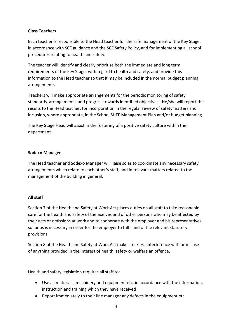#### **Class Teachers**

Each teacher is responsible to the Head teacher for the safe management of the Key Stage, in accordance with SCE guidance and the SCE Safety Policy, and for implementing all school procedures relating to health and safety.

The teacher will identify and clearly prioritise both the immediate and long term requirements of the Key Stage, with regard to health and safety, and provide this information to the Head teacher so that it may be included in the normal budget planning arrangements.

Teachers will make appropriate arrangements for the periodic monitoring of safety standards, arrangements, and progress towards identified objectives. He/she will report the results to the Head teacher, for incorporation in the regular review of safety matters and inclusion, where appropriate, in the School SHEF Management Plan and/or budget planning.

The Key Stage Head will assist in the fostering of a positive safety culture within their department.

#### **Sodexo Manager**

The Head teacher and Sodexo Manager will liaise so as to coordinate any necessary safety arrangements which relate to each other's staff, and in relevant matters related to the management of the building in general.

#### **All staff**

Section 7 of the Health and Safety at Work Act places duties on all staff to take reasonable care for the health and safety of themselves and of other persons who may be affected by their acts or omissions at work and to cooperate with the employer and his representatives so far as is necessary in order for the employer to fulfil and of the relevant statutory provisions.

Section 8 of the Health and Safety at Work Act makes reckless interference with or misuse of anything provided in the interest of health, safety or welfare an offence.

Health and safety legislation requires all staff to:

- Use all materials, machinery and equipment etc. in accordance with the information, instruction and training which they have received
- Report immediately to their line manager any defects in the equipment etc.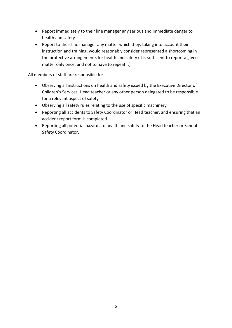- Report immediately to their line manager any serious and immediate danger to health and safety
- Report to their line manager any matter which they, taking into account their instruction and training, would reasonably consider represented a shortcoming in the protective arrangements for health and safety (it is sufficient to report a given matter only once, and not to have to repeat it).

All members of staff are responsible for:

- Observing all instructions on health and safety issued by the Executive Director of Children's Services, Head teacher or any other person delegated to be responsible for a relevant aspect of safety
- Observing all safety rules relating to the use of specific machinery
- Reporting all accidents to Safety Coordinator or Head teacher, and ensuring that an accident report form is completed
- Reporting all potential hazards to health and safety to the Head teacher or School Safety Coordinator.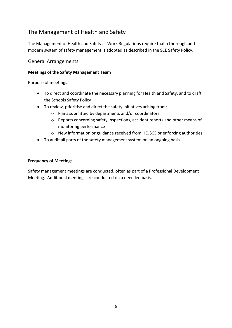## The Management of Health and Safety

The Management of Health and Safety at Work Regulations require that a thorough and modern system of safety management is adopted as described in the SCE Safety Policy.

#### General Arrangements

#### **Meetings of the Safety Management Team**

Purpose of meetings:

- To direct and coordinate the necessary planning for Health and Safety, and to draft the Schools Safety Policy
- To review, prioritise and direct the safety initiatives arising from:
	- o Plans submitted by departments and/or coordinators
	- o Reports concerning safety inspections, accident reports and other means of monitoring performance
	- o New information or guidance received from HQ SCE or enforcing authorities
- To audit all parts of the safety management system on an ongoing basis

#### **Frequency of Meetings**

Safety management meetings are conducted, often as part of a Professional Development Meeting. Additional meetings are conducted on a need led basis.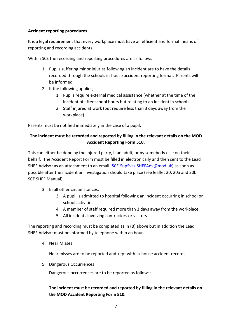#### **Accident reporting procedures**

It is a legal requirement that every workplace must have an efficient and formal means of reporting and recording accidents.

Within SCE the recording and reporting procedures are as follows:

- 1. Pupils suffering minor injuries following an incident are to have the details recorded through the schools in-house accident reporting format. Parents will be informed.
- 2. If the following applies;
	- 1. Pupils require external medical assistance (whether at the time of the incident of after school hours but relating to an incident in school)
	- 2. Staff injured at work (but require less than 3 days away from the workplace)

Parents must be notified immediately in the case of a pupil.

#### **The incident must be recorded and reported by filling in the relevant details on the MOD Accident Reporting Form 510.**

This can either be done by the injured party, if an adult, or by somebody else on their behalf. The Accident Report Form must be filled in electronically and then sent to the Lead SHEF Advisor as an attachment to an email [\(SCE-SupSvcs-SHEFAdv@mod.uk\)](mailto:SCE-SupSvcs-SHEFAdv@mod.uk) as soon as possible after the incident an investigation should take place (see leaflet 20, 20a and 20b SCE SHEF Manual).

- 3. In all other circumstances;
	- 3. A pupil is admitted to hospital following an incident occurring in school or school activities
	- 4. A member of staff required more than 3 days away from the workplace
	- 5. All incidents involving contractors or visitors

The reporting and recording must be completed as in (B) above but in addition the Lead SHEF Advisor must be informed by telephone within an hour.

4. Near Misses:

Near misses are to be reported and kept with in-house accident records.

5. Dangerous Occurrences:

Dangerous occurrences are to be reported as follows:

#### **The incident must be recorded and reported by filling in the relevant details on the MOD Accident Reporting Form 510.**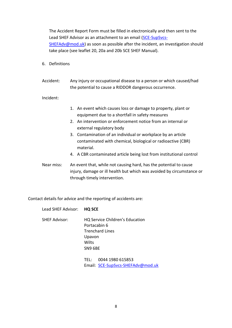The Accident Report Form must be filled in electronically and then sent to the Lead SHEF Advisor as an attachment to an email [\(SCE-SupSvcs-](mailto:SCE-SupSvcs-SHEFAdv@mod.uk)[SHEFAdv@mod.uk\)](mailto:SCE-SupSvcs-SHEFAdv@mod.uk) as soon as possible after the incident, an investigation should take place (see leaflet 20, 20a and 20b SCE SHEF Manual).

- 6. Definitions
- Accident: Any injury or occupational disease to a person or which caused/had the potential to cause a RIDDOR dangerous occurrence.

Incident:

- 1. An event which causes loss or damage to property, plant or equipment due to a shortfall in safety measures
- 2. An intervention or enforcement notice from an internal or external regulatory body
- 3. Contamination of an individual or workplace by an article contaminated with chemical, biological or radioactive (CBR) material.
- 4. A CBR contaminated article being lost from institutional control
- Near miss: An event that, while not causing hard, has the potential to cause injury, damage or ill health but which was avoided by circumstance or through timely intervention.

Contact details for advice and the reporting of accidents are:

Lead SHEF Advisor: **HQ SCE**

SHEF Advisor: HQ Service Children's Education Portacabin 6 Trenchard Lines Upavon **Wilts** SN9 6BE

> TEL: 0044 1980 615853 Email: [SCE-SupSvcs-SHEFAdv@mod.uk](mailto:SCE-SupSvcs-SHEFAdv@mod.uk)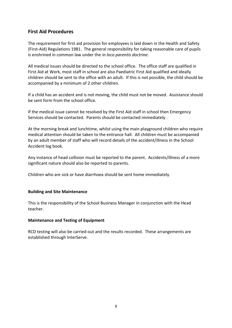#### **First Aid Procedures**

The requirement for first aid provision for employees is laid down in the Health and Safety (First-Aid) Regulations 1981. The general responsibility for taking reasonable care of pupils is enshrined in common law under the *in loco parentis doctrine*.

All medical issues should be directed to the school office. The office staff are qualified in First Aid at Work, most staff in school are also Paediatric First Aid qualified and ideally children should be sent to the office with an adult. If this is not possible, the child should be accompanied by a minimum of 2 other children.

If a child has an accident and is not moving, the child must not be moved. Assistance should be sent form from the school office.

If the medical issue cannot be resolved by the First Aid staff in school then Emergency Services should be contacted. Parents should be contacted immediately .

At the morning break and lunchtime, whilst using the main playground children who require medical attention should be taken to the entrance hall. All children must be accompanied by an adult member of staff who will record details of the accident/illness in the School Accident log book.

Any instance of head collision must be reported to the parent. Accidents/illness of a more significant nature should also be reported to parents.

Children who are sick or have diarrhoea should be sent home immediately.

#### **Building and Site Maintenance**

This is the responsibility of the School Business Manager in conjunction with the Head teacher.

#### **Maintenance and Testing of Equipment**

RCD testing will also be carried out and the results recorded. These arrangements are established through InterServe.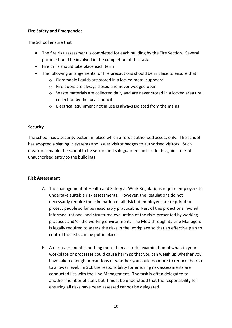#### **Fire Safety and Emergencies**

The School ensure that

- The fire risk assessment is completed for each building by the Fire Section. Several parties should be involved in the completion of this task.
- Fire drills should take place each term
- The following arrangements for fire precautions should be in place to ensure that
	- o Flammable liquids are stored in a locked metal cupboard
	- o Fire doors are always closed and never wedged open
	- o Waste materials are collected daily and are never stored in a locked area until collection by the local council
	- o Electrical equipment not in use is always isolated from the mains

#### **Security**

The school has a security system in place which affords authorised access only. The school has adopted a signing in systems and issues visitor badges to authorised visitors. Such measures enable the school to be secure and safeguarded and students against risk of unauthorised entry to the buildings.

#### **Risk Assessment**

- A. The management of Health and Safety at Work Regulations require employers to undertake suitable risk assessments. However, the Regulations do not necessarily require the elimination of all risk but employers are required to protect people so far as reasonably practicable. Part of this proections involed informed, rational and structured evaluation of the risks presented by working practices and/or the working environment. The MoD through its Line Managers is legally required to assess the risks in the workplace so that an effective plan to control the risks can be put in place.
- B. A risk assessment is nothing more than a careful examination of what, in your workplace or processes could cause harm so that you can weigh up whether you have taken enough precautions or whether you could do more to reduce the risk to a lower level. In SCE the responsibility for ensuring risk assessments are conducted lies with the Line Management. The task is often delegated to another member of staff, but it must be understood that the responsibility for ensuring all risks have been assessed cannot be delegated.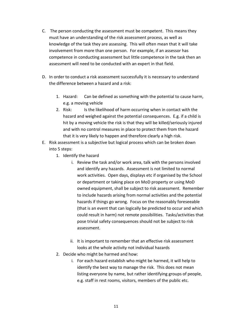- C. The person conducting the assessment must be competent. This means they must have an understanding of the risk assessment process, as well as knowledge of the task they are assessing. This will often mean that it will take involvement from more than one person. For example, if an assessor has competence in conducting assessment but little competence in the task then an assessment will need to be conducted with an expert in that field.
- D. In order to conduct a risk assessment successfully it is necessary to understand the difference between a hazard and a risk:
	- 1. Hazard: Can be defined as something with the potential to cause harm, e.g. a moving vehicle
	- 2. Risk: Is the likelihood of harm occurring when in contact with the hazard and weighed against the potential consequences. E.g. if a child is hit by a moving vehicle the risk is that they will be killed/seriously injured and with no control measures in place to protect them from the hazard that it is very likely to happen and therefore clearly a high risk.
- E. Risk assessment is a subjective but logical process which can be broken down into 5 steps:
	- 1. Identify the hazard
		- i. Review the task and/or work area, talk with the persons involved and identify any hazards. Assessment is not limited to normal work activities. Open days, displays etc if organised by the School or department or taking place on MoD property or using MoD owned equipment, shall be subject to risk assessment. Remember to include hazards arising from normal activities and the potential hazards if things go wrong. Focus on the reasonably foreseeable (that is an event that can logically be predicted to occur and which could result in harm) not remote possibilities. Tasks/activities that pose trivial safety consequences should not be subject to risk assessment.
		- ii. It is important to remember that an effective risk assessment looks at the whole activity not individual hazards
	- 2. Decide who might be harmed and how:
		- i. For each hazard establish who might be harmed, it will help to identify the best way to manage the risk. This does not mean listing everyone by name, but rather identifying groups of people, e.g. staff in rest rooms, visitors, members of the public etc.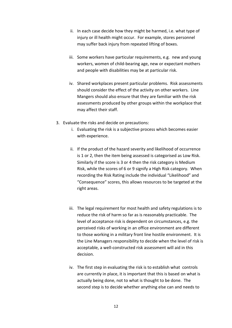- ii. In each case decide how they might be harmed, i.e. what type of injury or ill health might occur. For example, stores personnel may suffer back injury from repeated lifting of boxes.
- iii. Some workers have particular requirements, e.g. new and young workers, women of child-bearing age, new or expectant mothers and people with disabilities may be at particular risk.
- iv. Shared workplaces present particular problems. Risk assessments should consider the effect of the activity on other workers. Line Mangers should also ensure that they are familiar with the risk assessments produced by other groups within the workplace that may affect their staff.
- 3. Evaluate the risks and decide on precautions:
	- i. Evaluating the risk is a subjective process which becomes easier with experience.
	- ii. If the product of the hazard severity and likelihood of occurrence is 1 or 2, then the item being assessed is categorised as Low Risk. Similarly if the score is 3 or 4 then the risk category is Medium Risk, while the scores of 6 or 9 signify a High Risk category. When recording the Risk Rating include the individual "Likelihood" and "Consequence" scores, this allows resources to be targeted at the right areas.
	- iii. The legal requirement for most health and safety regulations is to reduce the risk of harm so far as is reasonably practicable. The level of acceptance risk is dependent on circumstances, e.g. the perceived risks of working in an office environment are different to those working in a military front line hostile environment. It is the Line Managers responsibility to decide when the level of risk is acceptable, a well-constructed risk assessment will aid in this decision.
	- iv. The first step in evaluating the risk is to establish what controls are currently in place, it is important that this is based on what is actually being done, not to what is thought to be done. The second step is to decide whether anything else can and needs to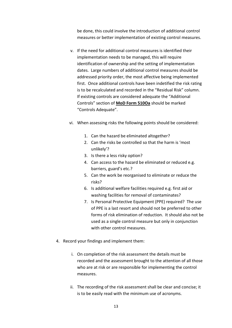be done, this could involve the introduction of additional control measures or better implementation of existing control measures.

- v. If the need for additional control measures is identified their implementation needs to be managed, this will require identification of ownership and the setting of implementation dates. Large numbers of additional control measures should be addressed priority order, the most affective being implemented first. Once additional controls have been indetified the risk rating is to be recalculated and recorded in the "Residual Risk" column. If existing controls are considered adequate the "Additional Controls" section of **MoD Form 510Oa** should be marked "Controls Adequate".
- vi. When assessing risks the following points should be considered:
	- 1. Can the hazard be eliminated altogether?
	- 2. Can the risks be controlled so that the harm is 'most unlikely'?
	- 3. Is there a less risky option?
	- 4. Can access to the hazard be eliminated or reduced e.g. barriers, guard's etc.?
	- 5. Can the work be reorganised to eliminate or reduce the risks?
	- 6. Is additional welfare facilities required e.g. first aid or washing facilities for removal of contaminates?
	- 7. Is Personal Protective Equipment (PPE) required? The use of PPE is a last resort and should not be preferred to other forms of risk elimination of reduction. It should also not be used as a single control measure but only in conjunction with other control measures.
- 4. Record your findings and implement them:
	- i. On completion of the risk assessment the details must be recorded and the assessment brought to the attention of all those who are at risk or are responsible for implementing the control measures.
	- ii. The recording of the risk assessment shall be clear and concise; it is to be easily read with the minimum use of acronyms.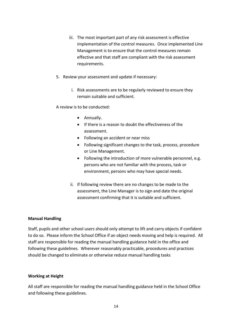- iii. The most important part of any risk assessment is effective implementation of the control measures. Once implemented Line Management is to ensure that the control measures remain effective and that staff are compliant with the risk assessment requirements.
- 5. Review your assessment and update if necessary:
	- i. Risk assessments are to be regularly reviewed to ensure they remain suitable and sufficient.

A review is to be conducted:

- Annually.
- If there is a reason to doubt the effectiveness of the assessment.
- Following an accident or near miss
- Following significant changes to the task, process, procedure or Line Management.
- Following the introduction of more vulnerable personnel, e.g. persons who are not familiar with the process, task or environment, persons who may have special needs.
- ii. If following review there are no changes to be made to the assessment, the Line Manager is to sign and date the original assessment confirming that it is suitable and sufficient.

#### **Manual Handling**

Staff, pupils and other school users should only attempt to lift and carry objects if confident to do so. Please inform the School Office if an object needs moving and help is required. All staff are responsible for reading the manual handling guidance held in the office and following these guidelines. Wherever reasonably practicable, procedures and practices should be changed to eliminate or otherwise reduce manual handling tasks

#### **Working at Height**

All staff are responsible for reading the manual handling guidance held in the School Office and following these guidelines.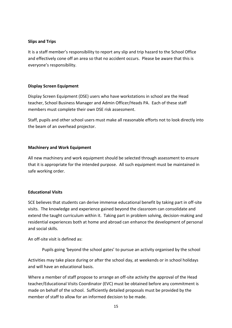#### **Slips and Trips**

It is a staff member's responsibility to report any slip and trip hazard to the School Office and effectively cone off an area so that no accident occurs. Please be aware that this is everyone's responsibility.

#### **Display Screen Equipment**

Display Screen Equipment (DSE) users who have workstations in school are the Head teacher, School Business Manager and Admin Officer/Heads PA. Each of these staff members must complete their own DSE risk assessment.

Staff, pupils and other school users must make all reasonable efforts not to look directly into the beam of an overhead projector.

#### **Machinery and Work Equipment**

All new machinery and work equipment should be selected through assessment to ensure that it is appropriate for the intended purpose. All such equipment must be maintained in safe working order.

#### **Educational Visits**

SCE believes that students can derive immense educational benefit by taking part in off-site visits. The knowledge and experience gained beyond the classroom can consolidate and extend the taught curriculum within it. Taking part in problem solving, decision-making and residential experiences both at home and abroad can enhance the development of personal and social skills.

An off-site visit is defined as:

Pupils going 'beyond the school gates' to pursue an activity organised by the school

Activities may take place during or after the school day, at weekends or in school holidays and will have an educational basis.

Where a member of staff propose to arrange an off-site activity the approval of the Head teacher/Educational Visits Coordinator (EVC) must be obtained before any commitment is made on behalf of the school. Sufficiently detailed proposals must be provided by the member of staff to allow for an informed decision to be made.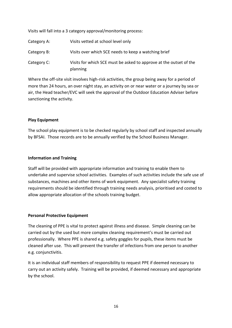Visits will fall into a 3 category approval/monitoring process:

| Category A: | Visits vetted at school level only                                             |
|-------------|--------------------------------------------------------------------------------|
| Category B: | Visits over which SCE needs to keep a watching brief                           |
| Category C: | Visits for which SCE must be asked to approve at the outset of the<br>planning |

Where the off-site visit involves high-risk activities, the group being away for a period of more than 24 hours, an over night stay, an activity on or near water or a journey by sea or air, the Head teacher/EVC will seek the approval of the Outdoor Education Adviser before sanctioning the activity.

#### **Play Equipment**

The school play equipment is to be checked regularly by school staff and inspected annually by BFSAI. Those records are to be annually verified by the School Business Manager.

#### **Information and Training**

Staff will be provided with appropriate information and training to enable them to undertake and supervise school activities. Examples of such activities include the safe use of substances, machines and other items of work equipment. Any specialist safety training requirements should be identified through training needs analysis, prioritised and costed to allow appropriate allocation of the schools training budget.

#### **Personal Protective Equipment**

The cleaning of PPE is vital to protect against illness and disease. Simple cleaning can be carried out by the used but more complex cleaning requirement's must be carried out professionally. Where PPE is shared e.g. safety goggles for pupils, these items must be cleaned after use. This will prevent the transfer of infections from one person to another e.g. conjunctivitis.

It is an individual staff members of responsibility to request PPE if deemed necessary to carry out an activity safely. Training will be provided, if deemed necessary and appropriate by the school.